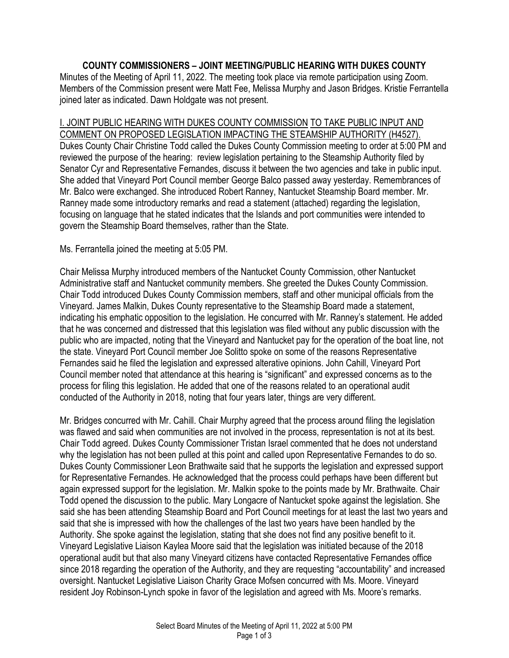## **COUNTY COMMISSIONERS – JOINT MEETING/PUBLIC HEARING WITH DUKES COUNTY**

Minutes of the Meeting of April 11, 2022. The meeting took place via remote participation using Zoom. Members of the Commission present were Matt Fee, Melissa Murphy and Jason Bridges. Kristie Ferrantella joined later as indicated. Dawn Holdgate was not present.

## I. JOINT PUBLIC HEARING WITH DUKES COUNTY COMMISSION TO TAKE PUBLIC INPUT AND COMMENT ON PROPOSED LEGISLATION IMPACTING THE STEAMSHIP AUTHORITY (H4527).

Dukes County Chair Christine Todd called the Dukes County Commission meeting to order at 5:00 PM and reviewed the purpose of the hearing: review legislation pertaining to the Steamship Authority filed by Senator Cyr and Representative Fernandes, discuss it between the two agencies and take in public input. She added that Vineyard Port Council member George Balco passed away yesterday. Remembrances of Mr. Balco were exchanged. She introduced Robert Ranney, Nantucket Steamship Board member. Mr. Ranney made some introductory remarks and read a statement (attached) regarding the legislation, focusing on language that he stated indicates that the Islands and port communities were intended to govern the Steamship Board themselves, rather than the State.

Ms. Ferrantella joined the meeting at 5:05 PM.

Chair Melissa Murphy introduced members of the Nantucket County Commission, other Nantucket Administrative staff and Nantucket community members. She greeted the Dukes County Commission. Chair Todd introduced Dukes County Commission members, staff and other municipal officials from the Vineyard. James Malkin, Dukes County representative to the Steamship Board made a statement, indicating his emphatic opposition to the legislation. He concurred with Mr. Ranney's statement. He added that he was concerned and distressed that this legislation was filed without any public discussion with the public who are impacted, noting that the Vineyard and Nantucket pay for the operation of the boat line, not the state. Vineyard Port Council member Joe Solitto spoke on some of the reasons Representative Fernandes said he filed the legislation and expressed alterative opinions. John Cahill, Vineyard Port Council member noted that attendance at this hearing is "significant" and expressed concerns as to the process for filing this legislation. He added that one of the reasons related to an operational audit conducted of the Authority in 2018, noting that four years later, things are very different.

Mr. Bridges concurred with Mr. Cahill. Chair Murphy agreed that the process around filing the legislation was flawed and said when communities are not involved in the process, representation is not at its best. Chair Todd agreed. Dukes County Commissioner Tristan Israel commented that he does not understand why the legislation has not been pulled at this point and called upon Representative Fernandes to do so. Dukes County Commissioner Leon Brathwaite said that he supports the legislation and expressed support for Representative Fernandes. He acknowledged that the process could perhaps have been different but again expressed support for the legislation. Mr. Malkin spoke to the points made by Mr. Brathwaite. Chair Todd opened the discussion to the public. Mary Longacre of Nantucket spoke against the legislation. She said she has been attending Steamship Board and Port Council meetings for at least the last two years and said that she is impressed with how the challenges of the last two years have been handled by the Authority. She spoke against the legislation, stating that she does not find any positive benefit to it. Vineyard Legislative Liaison Kaylea Moore said that the legislation was initiated because of the 2018 operational audit but that also many Vineyard citizens have contacted Representative Fernandes office since 2018 regarding the operation of the Authority, and they are requesting "accountability" and increased oversight. Nantucket Legislative Liaison Charity Grace Mofsen concurred with Ms. Moore. Vineyard resident Joy Robinson-Lynch spoke in favor of the legislation and agreed with Ms. Moore's remarks.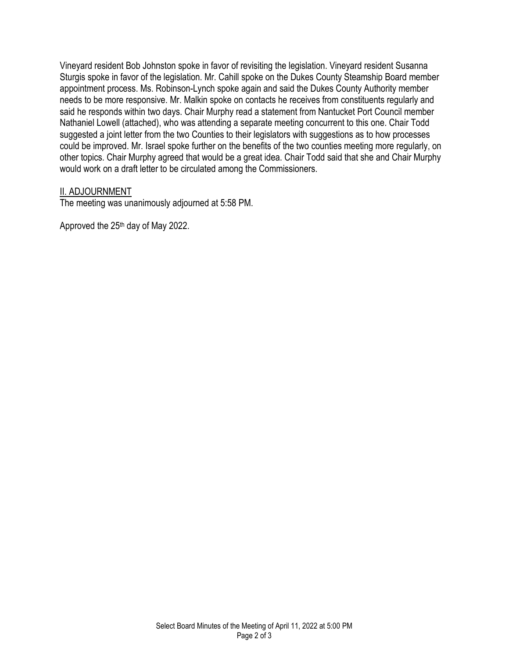Vineyard resident Bob Johnston spoke in favor of revisiting the legislation. Vineyard resident Susanna Sturgis spoke in favor of the legislation. Mr. Cahill spoke on the Dukes County Steamship Board member appointment process. Ms. Robinson-Lynch spoke again and said the Dukes County Authority member needs to be more responsive. Mr. Malkin spoke on contacts he receives from constituents regularly and said he responds within two days. Chair Murphy read a statement from Nantucket Port Council member Nathaniel Lowell (attached), who was attending a separate meeting concurrent to this one. Chair Todd suggested a joint letter from the two Counties to their legislators with suggestions as to how processes could be improved. Mr. Israel spoke further on the benefits of the two counties meeting more regularly, on other topics. Chair Murphy agreed that would be a great idea. Chair Todd said that she and Chair Murphy would work on a draft letter to be circulated among the Commissioners.

## II. ADJOURNMENT

The meeting was unanimously adjourned at 5:58 PM.

Approved the 25th day of May 2022.